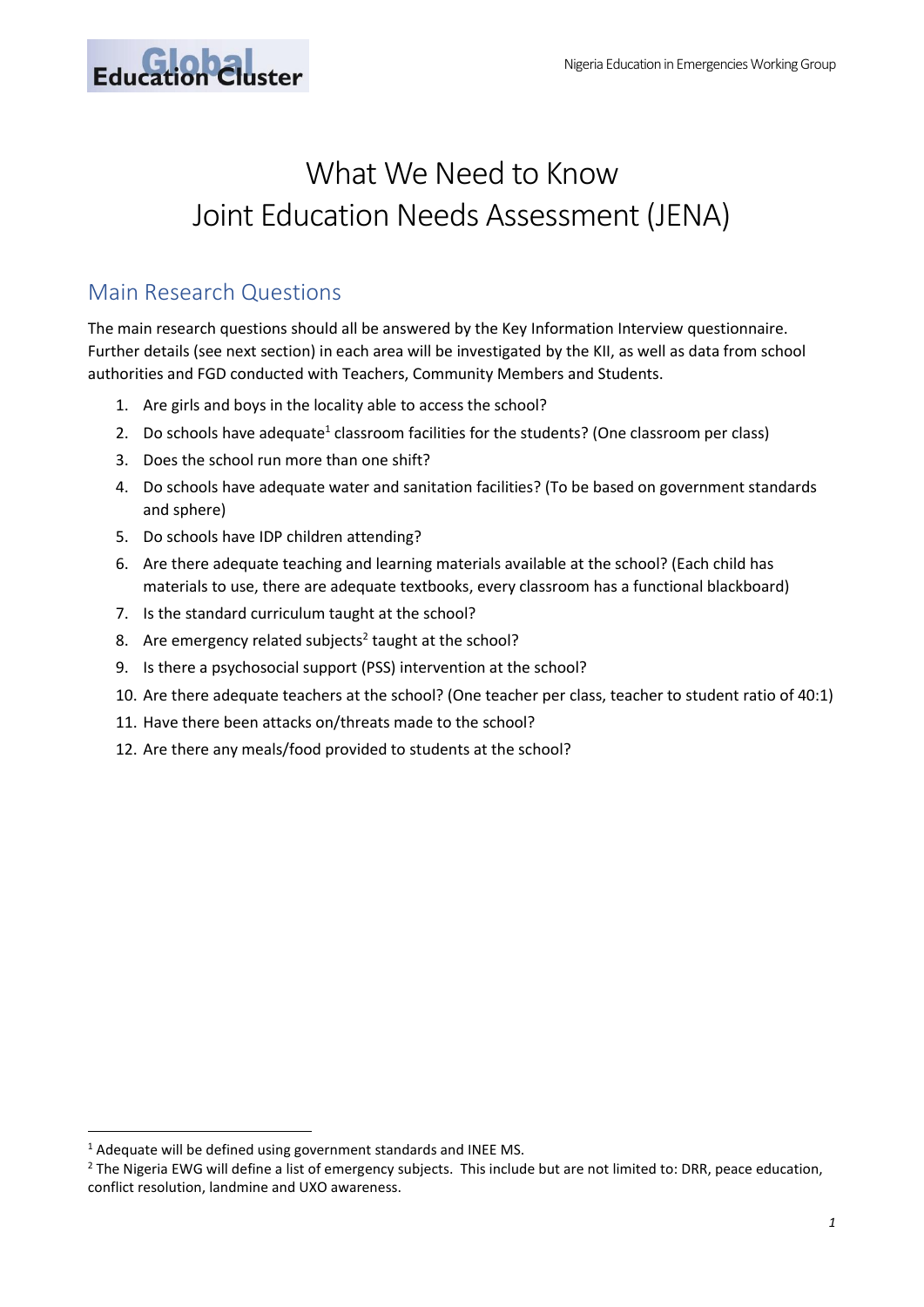

## What We Need to Know Joint Education Needs Assessment (JENA)

### Main Research Questions

The main research questions should all be answered by the Key Information Interview questionnaire. Further details (see next section) in each area will be investigated by the KII, as well as data from school authorities and FGD conducted with Teachers, Community Members and Students.

- 1. Are girls and boys in the locality able to access the school?
- 2. Do schools have adequate<sup>1</sup> classroom facilities for the students? (One classroom per class)
- 3. Does the school run more than one shift?
- 4. Do schools have adequate water and sanitation facilities? (To be based on government standards and sphere)
- 5. Do schools have IDP children attending?
- 6. Are there adequate teaching and learning materials available at the school? (Each child has materials to use, there are adequate textbooks, every classroom has a functional blackboard)
- 7. Is the standard curriculum taught at the school?
- 8. Are emergency related subjects<sup>2</sup> taught at the school?
- 9. Is there a psychosocial support (PSS) intervention at the school?
- 10. Are there adequate teachers at the school? (One teacher per class, teacher to student ratio of 40:1)
- 11. Have there been attacks on/threats made to the school?
- 12. Are there any meals/food provided to students at the school?

**.** 

 $1$  Adequate will be defined using government standards and INEE MS.

<sup>&</sup>lt;sup>2</sup> The Nigeria EWG will define a list of emergency subjects. This include but are not limited to: DRR, peace education, conflict resolution, landmine and UXO awareness.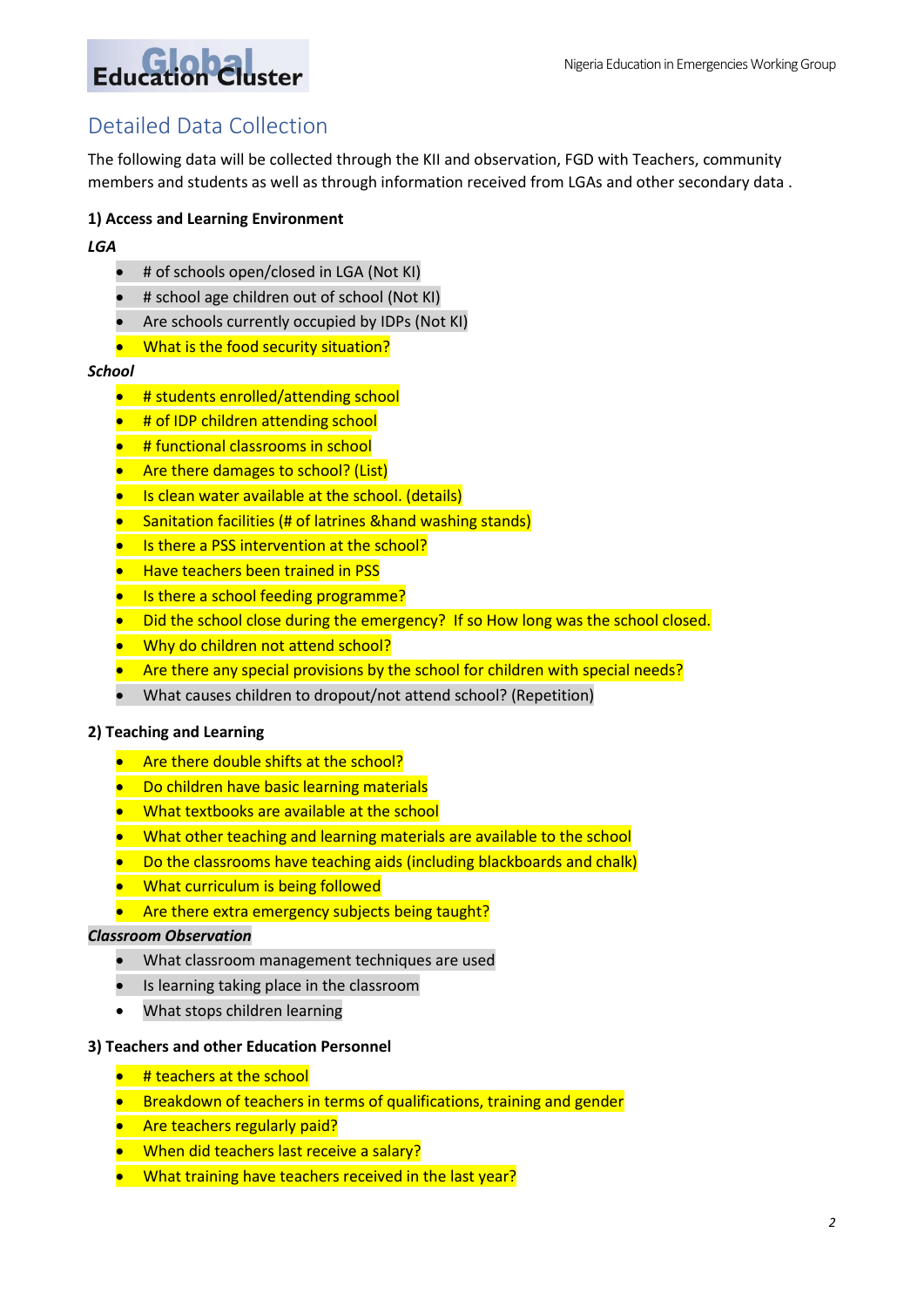# Education Cluster

### Detailed Data Collection

The following data will be collected through the KII and observation, FGD with Teachers, community members and students as well as through information received from LGAs and other secondary data .

#### **1) Access and Learning Environment**

#### *LGA*

- # of schools open/closed in LGA (Not KI)
- # school age children out of school (Not KI)
- Are schools currently occupied by IDPs (Not KI)
- What is the food security situation?

#### *School*

- **•** # students enrolled/attending school
- **•** # of IDP children attending school
- **•** # functional classrooms in school
- Are there damages to school? (List)
- Is clean water available at the school. (details)
- Sanitation facilities (# of latrines & hand washing stands)
- Is there a PSS intervention at the school?
- Have teachers been trained in PSS
- Is there a school feeding programme?
- Did the school close during the emergency? If so How long was the school closed.
- Why do children not attend school?
- Are there any special provisions by the school for children with special needs?
- What causes children to dropout/not attend school? (Repetition)

#### **2) Teaching and Learning**

- Are there double shifts at the school?
- **•** Do children have basic learning materials
- What textbooks are available at the school
- What other teaching and learning materials are available to the school
- Do the classrooms have teaching aids (including blackboards and chalk)
- What curriculum is being followed
- **•** Are there extra emergency subjects being taught?

#### *Classroom Observation*

- What classroom management techniques are used
- Is learning taking place in the classroom
- What stops children learning

#### **3) Teachers and other Education Personnel**

- $\bullet$  # teachers at the school
- **Breakdown of teachers in terms of qualifications, training and gender**
- Are teachers regularly paid?
- **•** When did teachers last receive a salary?
- What training have teachers received in the last year?